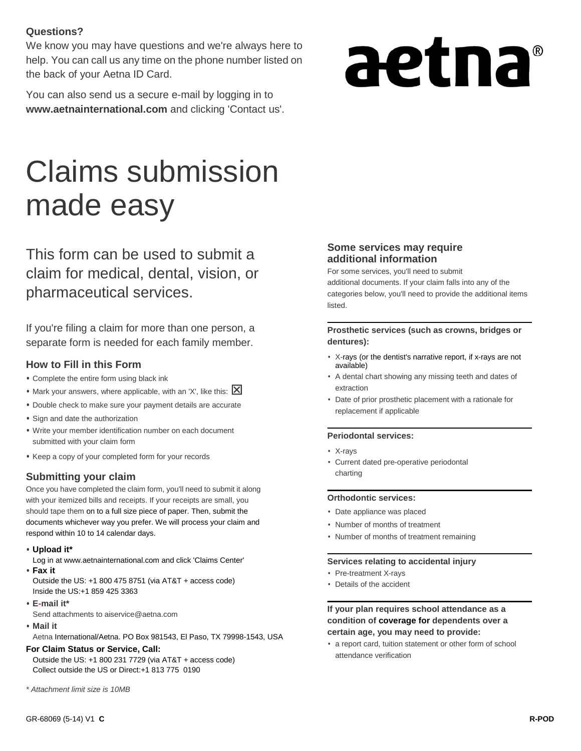#### **Questions?**

We know you may have questions and we're always here to help. You can call us any time on the phone number listed on the back of your Aetna ID Card.

You can also send us a secure e-mail by logging in to **[www.aetnainternational.com](http://www.aetnainternational.com/)** and clicking 'Contact us'.

# aetna®

# Claims submission made easy

This form can be used to submit a claim for medical, dental, vision, or pharmaceutical services.

If you're filing a claim for more than one person, a separate form is needed for each family member.

#### **How to Fill in this Form**

- **•** Complete the entire form using black ink
- Mark your answers, where applicable, with an 'X', like this: **X**
- **•** Double check to make sure your payment details are accurate **•** Sign and date the authorization
- **•** Write your member identification number on each document submitted with your claim form
- **•** Keep a copy of your completed form for your records

#### **Submitting your claim**

Once you have completed the claim form, you'll need to submit it along with your itemized bills and receipts. If your receipts are small, you should tape them on to a full size piece of paper. Then, submit the documents whichever way you prefer. We will process your claim and respond within 10 to 14 calendar days.

**• Upload it\***

Log in at [www.aetnainternational.com](http://www.aetnainternational.com/) and click 'Claims Center'

**• Fax it**

Outside the US: +1 800 475 8751 (via AT&T + access code) Inside the US:+1 859 425 3363

**• E-mail it\***

Send attachments to aiservice@aetna.com

**• Mail it**

Aetna International/Aetna. PO Box 981543, El Paso, TX 79998-1543, USA

#### **For Claim Status or Service, Call:**

Outside the US: +1 800 231 7729 (via AT&T + access code) Collect outside the US or Direct:+1 813 775 0190

*\* Attachment limit size is 10MB*

#### **Some services may require additional information**

For some services, you'll need to submit additional documents. If your claim falls into any of the categories below, you'll need to provide the additional items listed.

#### **Prosthetic services (such as crowns, bridges or dentures):**

- X-rays (or the dentist's narrative report, if x-rays are not available)
- A dental chart showing any missing teeth and dates of extraction
- Date of prior prosthetic placement with a rationale for replacement if applicable

#### **Periodontal services:**

- X-rays
- Current dated pre-operative periodontal charting

#### **Orthodontic services:**

- Date appliance was placed
- Number of months of treatment
- Number of months of treatment remaining

#### **Services relating to accidental injury**

- Pre-treatment X-rays
- Details of the accident

#### **If your plan requires school attendance as a condition of coverage for dependents over a certain age, you may need to provide:**

• a report card, tuition statement or other form of school attendance verification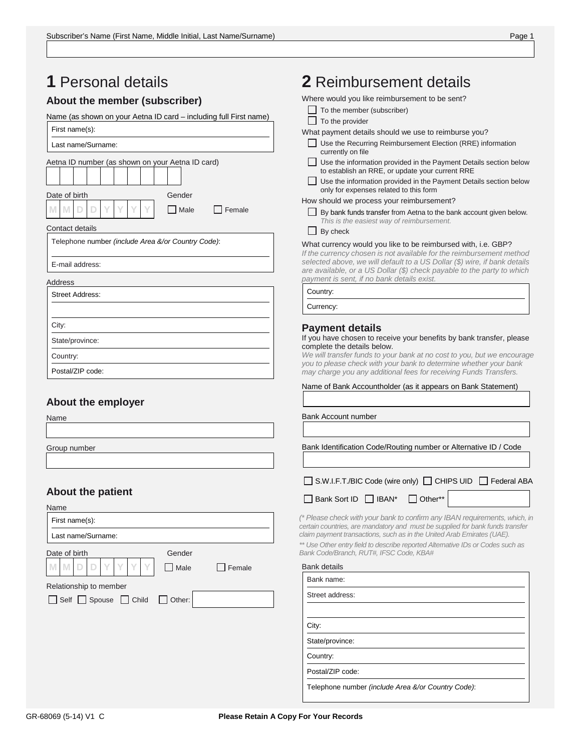| <b>1</b> Personal details                                            | 2 Reimbursement details                                                                                                                                                                                                                   |
|----------------------------------------------------------------------|-------------------------------------------------------------------------------------------------------------------------------------------------------------------------------------------------------------------------------------------|
| About the member (subscriber)                                        | Where would you like reimbursement to be sent?                                                                                                                                                                                            |
| Name (as shown on your Aetna ID card - including full First name)    | $\Box$ To the member (subscriber)<br>$\Box$ To the provider                                                                                                                                                                               |
| First name(s):                                                       | What payment details should we use to reimburse you?                                                                                                                                                                                      |
| Last name/Surname:                                                   | Use the Recurring Reimbursement Election (RRE) information<br>currently on file                                                                                                                                                           |
| Aetna ID number (as shown on your Aetna ID card)                     | Use the information provided in the Payment Details section below<br>to establish an RRE, or update your current RRE<br>Use the information provided in the Payment Details section below<br>only for expenses related to this form       |
| Date of birth<br>Gender<br>Y<br>Υ<br>D<br>D<br>M<br>  Male<br>Female | How should we process your reimbursement?<br>By bank funds transfer from Aetna to the bank account given below.                                                                                                                           |
| Contact details                                                      | This is the easiest way of reimbursement.<br>By check                                                                                                                                                                                     |
| Telephone number (include Area &/or Country Code):                   | What currency would you like to be reimbursed with, i.e. GBP?                                                                                                                                                                             |
| E-mail address:                                                      | If the currency chosen is not available for the reimbursement method<br>selected above, we will default to a US Dollar (\$) wire, if bank details<br>are available, or a US Dollar (\$) check payable to the party to which               |
| Address                                                              | payment is sent, if no bank details exist.                                                                                                                                                                                                |
| <b>Street Address:</b>                                               | Country:                                                                                                                                                                                                                                  |
|                                                                      | Currency:                                                                                                                                                                                                                                 |
| City:                                                                | <b>Payment details</b>                                                                                                                                                                                                                    |
| State/province:                                                      | If you have chosen to receive your benefits by bank transfer, please<br>complete the details below.                                                                                                                                       |
| Country:                                                             | We will transfer funds to your bank at no cost to you, but we encourage                                                                                                                                                                   |
| Postal/ZIP code:                                                     | you to please check with your bank to determine whether your bank<br>may charge you any additional fees for receiving Funds Transfers.                                                                                                    |
| About the employer<br>Name                                           | Bank Account number                                                                                                                                                                                                                       |
| Group number                                                         | Bank Identification Code/Routing number or Alternative ID / Code                                                                                                                                                                          |
|                                                                      | S.W.I.F.T./BIC Code (wire only) □ CHIPS UID □ Federal ABA                                                                                                                                                                                 |
| <b>About the patient</b>                                             | Bank Sort ID □ IBAN*<br>$\Box$ Other**                                                                                                                                                                                                    |
| Name<br>First name(s):                                               | (* Please check with your bank to confirm any IBAN requirements, which, in                                                                                                                                                                |
| Last name/Surname:                                                   | certain countries, are mandatory and must be supplied for bank funds transfer<br>claim payment transactions, such as in the United Arab Emirates (UAE).<br>** Use Other entry field to describe reported Alternative IDs or Codes such as |
| Date of birth<br>Gender                                              | Bank Code/Branch, RUT#, IFSC Code, KBA#                                                                                                                                                                                                   |
| Υ<br>M<br>D<br>D<br>  Male<br>Female                                 | <b>Bank details</b>                                                                                                                                                                                                                       |
| Relationship to member                                               | Bank name:                                                                                                                                                                                                                                |
| Self Spouse Child<br>$\Box$ Other:                                   | Street address:                                                                                                                                                                                                                           |
|                                                                      | City:                                                                                                                                                                                                                                     |
|                                                                      | State/province:                                                                                                                                                                                                                           |
|                                                                      | Country:                                                                                                                                                                                                                                  |
|                                                                      | Postal/ZIP code:                                                                                                                                                                                                                          |
|                                                                      | Telephone number (include Area &/or Country Code):                                                                                                                                                                                        |
|                                                                      |                                                                                                                                                                                                                                           |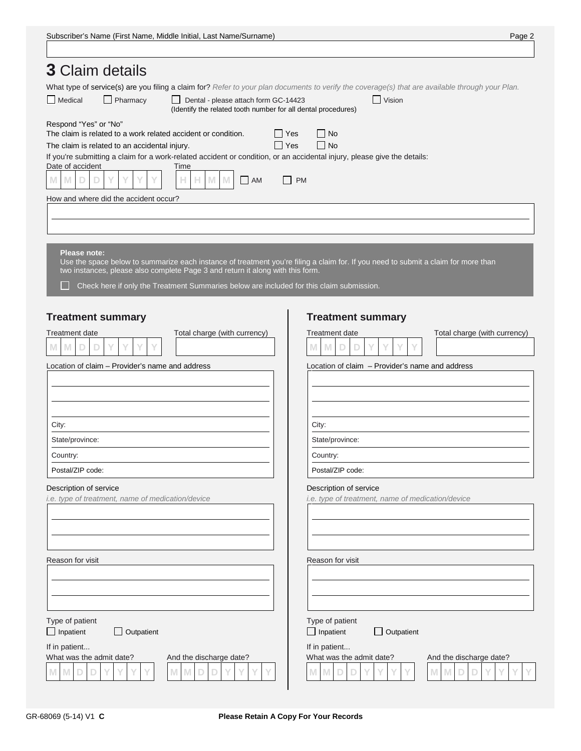| <b>3</b> Claim details                                                                                                                                                                                                                                                                                                                                                        |                                                                                               |
|-------------------------------------------------------------------------------------------------------------------------------------------------------------------------------------------------------------------------------------------------------------------------------------------------------------------------------------------------------------------------------|-----------------------------------------------------------------------------------------------|
| What type of service(s) are you filing a claim for? Refer to your plan documents to verify the coverage(s) that are available through your Plan.                                                                                                                                                                                                                              |                                                                                               |
| $\Box$ Medical<br>Pharmacy<br>$\Box$ Dental - please attach form GC-14423<br>(Identify the related tooth number for all dental procedures)                                                                                                                                                                                                                                    | $\Box$ Vision                                                                                 |
| Respond "Yes" or "No"<br>The claim is related to a work related accident or condition.<br>$\Box$ Yes<br>$\Box$ Yes<br>The claim is related to an accidental injury.<br>If you're submitting a claim for a work-related accident or condition, or an accidental injury, please give the details:<br>Date of accident<br>Time<br>M<br>M.<br>D<br>Ð<br>M<br>M<br>$\Box$ AM<br>Н. | No<br>$\Box$ No<br>$\Box$ PM                                                                  |
| How and where did the accident occur?                                                                                                                                                                                                                                                                                                                                         |                                                                                               |
|                                                                                                                                                                                                                                                                                                                                                                               |                                                                                               |
|                                                                                                                                                                                                                                                                                                                                                                               |                                                                                               |
| <b>Please note:</b><br>Use the space below to summarize each instance of treatment you're filing a claim for. If you need to submit a claim for more than<br>two instances, please also complete Page 3 and return it along with this form.<br>Check here if only the Treatment Summaries below are included for this claim submission.                                       |                                                                                               |
| <b>Treatment summary</b>                                                                                                                                                                                                                                                                                                                                                      | <b>Treatment summary</b>                                                                      |
| Total charge (with currency)<br><b>Treatment date</b>                                                                                                                                                                                                                                                                                                                         | Total charge (with currency)<br><b>Treatment date</b>                                         |
| M<br>M<br>D<br>D                                                                                                                                                                                                                                                                                                                                                              | M<br>M<br>D<br>D                                                                              |
| Location of claim - Provider's name and address                                                                                                                                                                                                                                                                                                                               | Location of claim - Provider's name and address                                               |
|                                                                                                                                                                                                                                                                                                                                                                               |                                                                                               |
|                                                                                                                                                                                                                                                                                                                                                                               |                                                                                               |
|                                                                                                                                                                                                                                                                                                                                                                               |                                                                                               |
| City:                                                                                                                                                                                                                                                                                                                                                                         | City:                                                                                         |
| State/province:                                                                                                                                                                                                                                                                                                                                                               | State/province:                                                                               |
| Country:                                                                                                                                                                                                                                                                                                                                                                      | Country:                                                                                      |
| Postal/ZIP code:                                                                                                                                                                                                                                                                                                                                                              | Postal/ZIP code:                                                                              |
| Description of service<br>i.e. type of treatment, name of medication/device                                                                                                                                                                                                                                                                                                   | Description of service<br>i.e. type of treatment, name of medication/device                   |
|                                                                                                                                                                                                                                                                                                                                                                               |                                                                                               |
|                                                                                                                                                                                                                                                                                                                                                                               |                                                                                               |
|                                                                                                                                                                                                                                                                                                                                                                               |                                                                                               |
| Reason for visit                                                                                                                                                                                                                                                                                                                                                              | Reason for visit                                                                              |
|                                                                                                                                                                                                                                                                                                                                                                               |                                                                                               |
|                                                                                                                                                                                                                                                                                                                                                                               |                                                                                               |
|                                                                                                                                                                                                                                                                                                                                                                               |                                                                                               |
| Type of patient                                                                                                                                                                                                                                                                                                                                                               | Type of patient                                                                               |
| $\Box$ Inpatient<br>Outpatient                                                                                                                                                                                                                                                                                                                                                | $\Box$ Inpatient<br>$\Box$ Outpatient                                                         |
| If in patient<br>What was the admit date?<br>And the discharge date?<br>M<br>M<br>M                                                                                                                                                                                                                                                                                           | If in patient<br>What was the admit date?<br>And the discharge date?<br>M<br>M<br>M<br>M<br>D |

 $\mathbf{I}$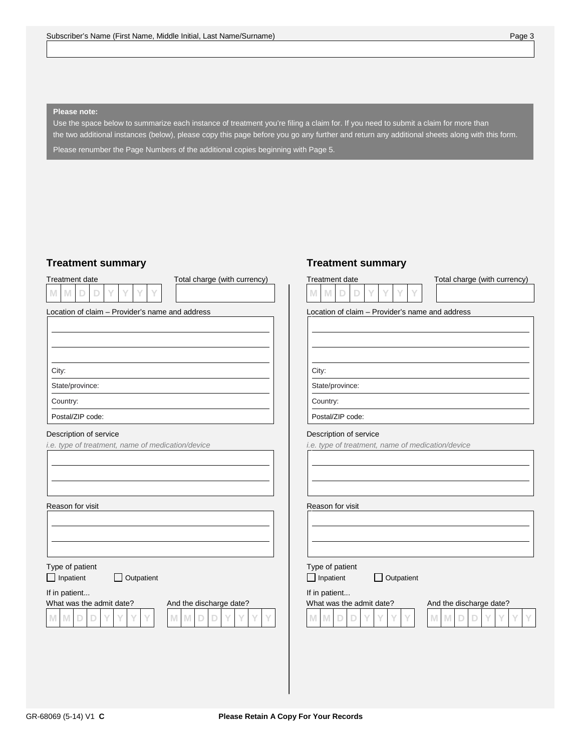#### **Please note:**

Use the space below to summarize each instance of treatment you're filing a claim for. If you need to submit a claim for more than the two additional instances (below), please copy this page before you go any further and return any additional sheets along with this form. Please renumber the Page Numbers of the additional copies beginning with Page 5.

#### **Treatment summary**

|  | Treatment date |  |  |  |
|--|----------------|--|--|--|
|  |                |  |  |  |

Total charge (with currency)

Location of claim – Provider's name and address

#### City:

State/province:

Country:

Postal/ZIP code:

#### Description of service

*i.e. type of treatment, name of medication/device* 

#### Reason for visit

Type of patient

□ Inpatient □ Outpatient

If in patient...





#### **Treatment summary**



#### Location of claim – Provider's name and address

City:

State/province:

Country:

Postal/ZIP code:

#### Description of service

*i.e. type of treatment, name of medication/device* 

Reason for visit

Type of patient

□ Inpatient □ Outpatient

#### If in patient...



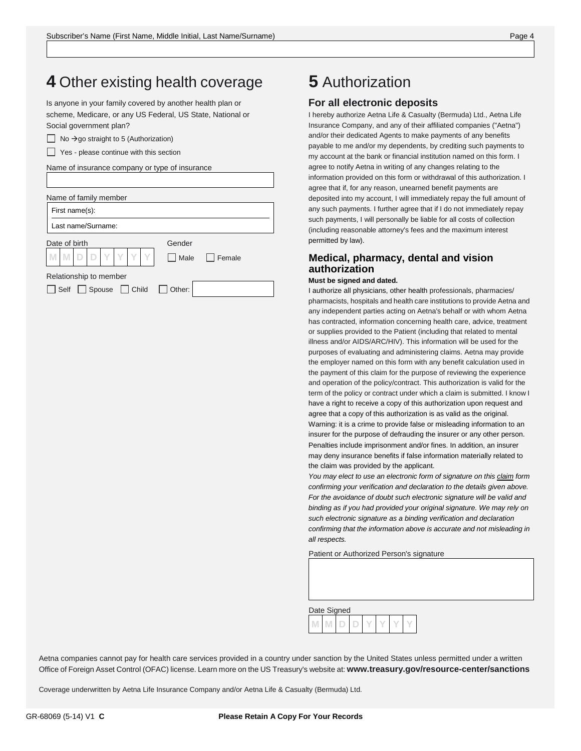### **4** Other existing health coverage

 Is anyone in your family covered by another health plan or scheme, Medicare, or any US Federal, US State, National or Social government plan?

| $\Box$ No $\rightarrow$ go straight to 5 (Authorization) |  |
|----------------------------------------------------------|--|
|----------------------------------------------------------|--|

Yes - please continue with this section

Name of insurance company or type of insurance

| Name of family member                            |        |                           |
|--------------------------------------------------|--------|---------------------------|
| First name(s):                                   |        |                           |
| Last name/Surname:                               |        |                           |
| Date of birth                                    | Gender |                           |
| MDDYYYY                                          |        | $\Box$ Male $\Box$ Female |
| Relationship to member                           |        |                           |
| $\Box$ Spouse $\Box$ Child $\Box$ Other:<br>Self |        |                           |

## **5** Authorization

#### **For all electronic deposits**

I hereby authorize Aetna Life & Casualty (Bermuda) Ltd., Aetna Life Insurance Company, and any of their affiliated companies ("Aetna") and/or their dedicated Agents to make payments of any benefits payable to me and/or my dependents, by crediting such payments to my account at the bank or financial institution named on this form. I agree to notify Aetna in writing of any changes relating to the information provided on this form or withdrawal of this authorization. I agree that if, for any reason, unearned benefit payments are deposited into my account, I will immediately repay the full amount of any such payments. I further agree that if I do not immediately repay such payments, I will personally be liable for all costs of collection (including reasonable attorney's fees and the maximum interest permitted by law).

#### **Medical, pharmacy, dental and vision authorization**

#### **Must be signed and dated.**

I authorize all physicians, other health professionals, pharmacies/ pharmacists, hospitals and health care institutions to provide Aetna and any independent parties acting on Aetna's behalf or with whom Aetna has contracted, information concerning health care, advice, treatment or supplies provided to the Patient (including that related to mental illness and/or AIDS/ARC/HIV). This information will be used for the purposes of evaluating and administering claims. Aetna may provide the employer named on this form with any benefit calculation used in the payment of this claim for the purpose of reviewing the experience and operation of the policy/contract. This authorization is valid for the term of the policy or contract under which a claim is submitted. I know I have a right to receive a copy of this authorization upon request and agree that a copy of this authorization is as valid as the original. Warning: it is a crime to provide false or misleading information to an insurer for the purpose of defrauding the insurer or any other person. Penalties include imprisonment and/or fines. In addition, an insurer may deny insurance benefits if false information materially related to the claim was provided by the applicant.

*You may elect to use an electronic form of signature on this claim form confirming your verification and declaration to the details given above. For the avoidance of doubt such electronic signature will be valid and binding as if you had provided your original signature. We may rely on such electronic signature as a binding verification and declaration confirming that the information above is accurate and not misleading in all respects.*

Patient or Authorized Person's signature

| Date Signed |  |  |  |  |
|-------------|--|--|--|--|
|             |  |  |  |  |

Aetna companies cannot pay for health care services provided in a country under sanction by the United States unless permitted under a written Office of Foreign Asset Control (OFAC) license. Learn more on the US Treasury's website at: **[www.treasury.gov/resource-center/sanctions](http://www.treasury.gov/resource-center/sanctions)**

Coverage underwritten by Aetna Life Insurance Company and/or Aetna Life & Casualty (Bermuda) Ltd.